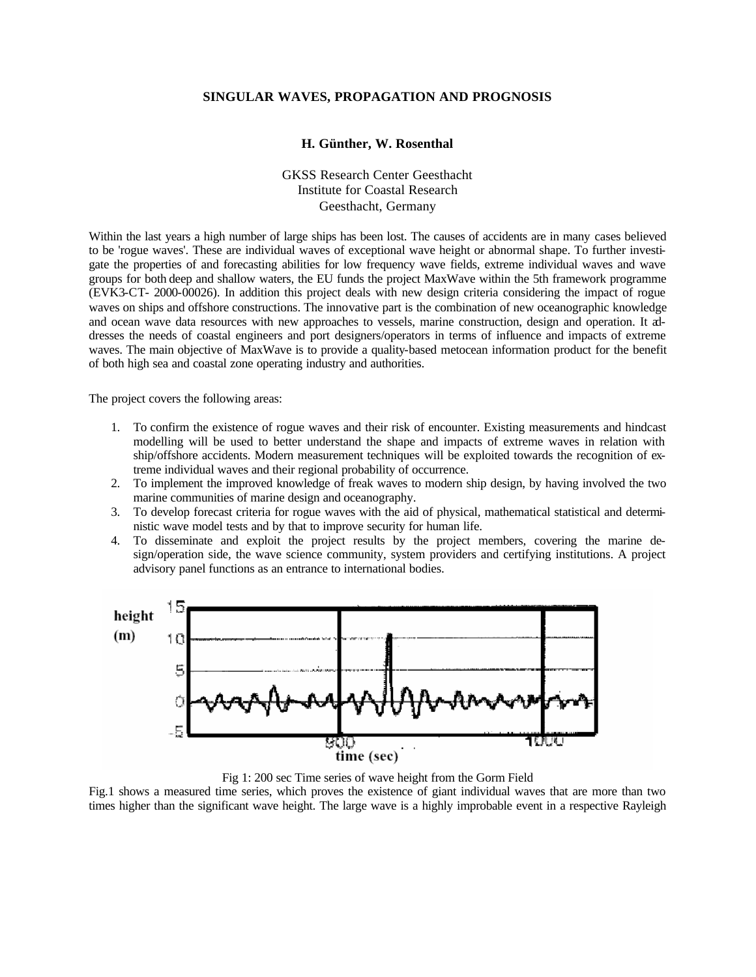## **SINGULAR WAVES, PROPAGATION AND PROGNOSIS**

## **H. Günther, W. Rosenthal**

GKSS Research Center Geesthacht Institute for Coastal Research Geesthacht, Germany

Within the last years a high number of large ships has been lost. The causes of accidents are in many cases believed to be 'rogue waves'. These are individual waves of exceptional wave height or abnormal shape. To further investigate the properties of and forecasting abilities for low frequency wave fields, extreme individual waves and wave groups for both deep and shallow waters, the EU funds the project MaxWave within the 5th framework programme (EVK3-CT- 2000-00026). In addition this project deals with new design criteria considering the impact of rogue waves on ships and offshore constructions. The innovative part is the combination of new oceanographic knowledge and ocean wave data resources with new approaches to vessels, marine construction, design and operation. It addresses the needs of coastal engineers and port designers/operators in terms of influence and impacts of extreme waves. The main objective of MaxWave is to provide a quality-based metocean information product for the benefit of both high sea and coastal zone operating industry and authorities.

The project covers the following areas:

- 1. To confirm the existence of rogue waves and their risk of encounter. Existing measurements and hindcast modelling will be used to better understand the shape and impacts of extreme waves in relation with ship/offshore accidents. Modern measurement techniques will be exploited towards the recognition of extreme individual waves and their regional probability of occurrence.
- 2. To implement the improved knowledge of freak waves to modern ship design, by having involved the two marine communities of marine design and oceanography.
- 3. To develop forecast criteria for rogue waves with the aid of physical, mathematical statistical and deterministic wave model tests and by that to improve security for human life.
- 4. To disseminate and exploit the project results by the project members, covering the marine design/operation side, the wave science community, system providers and certifying institutions. A project advisory panel functions as an entrance to international bodies.



Fig 1: 200 sec Time series of wave height from the Gorm Field

Fig.1 shows a measured time series, which proves the existence of giant individual waves that are more than two times higher than the significant wave height. The large wave is a highly improbable event in a respective Rayleigh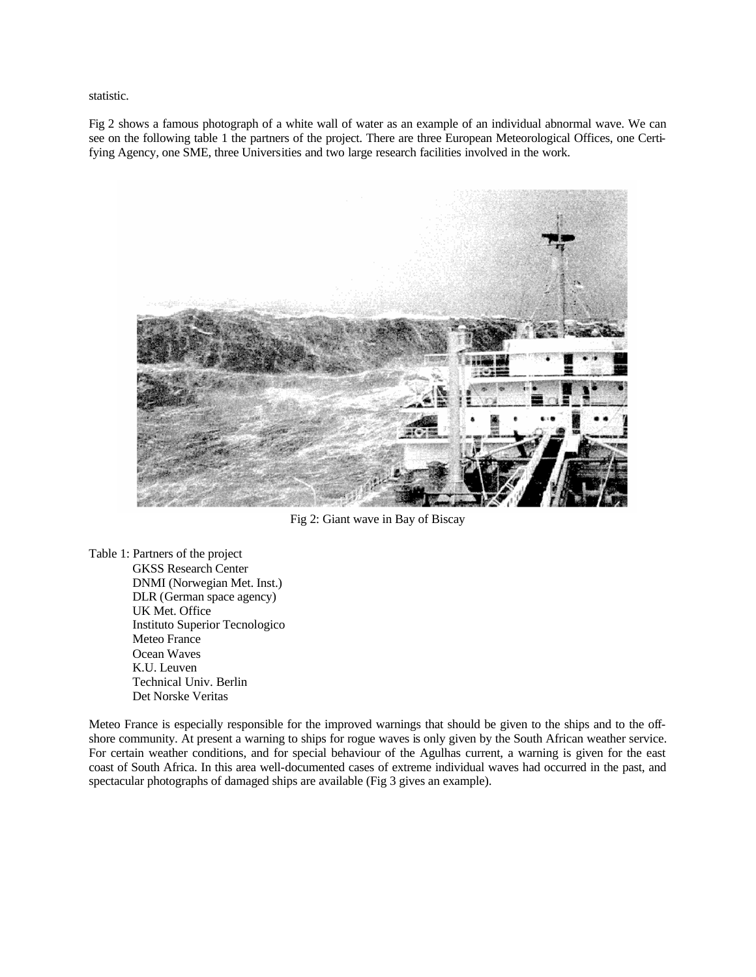statistic.

Fig 2 shows a famous photograph of a white wall of water as an example of an individual abnormal wave. We can see on the following table 1 the partners of the project. There are three European Meteorological Offices, one Certifying Agency, one SME, three Universities and two large research facilities involved in the work.



Fig 2: Giant wave in Bay of Biscay

Table 1: Partners of the project GKSS Research Center DNMI (Norwegian Met. Inst.) DLR (German space agency) UK Met. Office Instituto Superior Tecnologico Meteo France Ocean Waves K.U. Leuven Technical Univ. Berlin Det Norske Veritas

Meteo France is especially responsible for the improved warnings that should be given to the ships and to the offshore community. At present a warning to ships for rogue waves is only given by the South African weather service. For certain weather conditions, and for special behaviour of the Agulhas current, a warning is given for the east coast of South Africa. In this area well-documented cases of extreme individual waves had occurred in the past, and spectacular photographs of damaged ships are available (Fig 3 gives an example).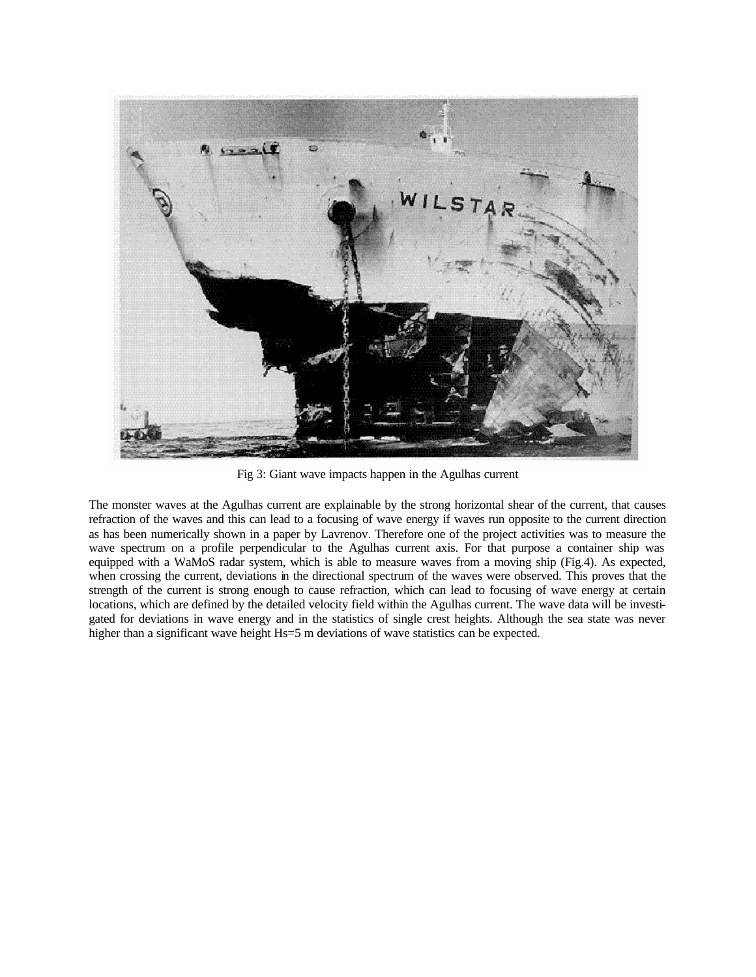

Fig 3: Giant wave impacts happen in the Agulhas current

The monster waves at the Agulhas current are explainable by the strong horizontal shear of the current, that causes refraction of the waves and this can lead to a focusing of wave energy if waves run opposite to the current direction as has been numerically shown in a paper by Lavrenov. Therefore one of the project activities was to measure the wave spectrum on a profile perpendicular to the Agulhas current axis. For that purpose a container ship was equipped with a WaMoS radar system, which is able to measure waves from a moving ship (Fig.4). As expected, when crossing the current, deviations in the directional spectrum of the waves were observed. This proves that the strength of the current is strong enough to cause refraction, which can lead to focusing of wave energy at certain locations, which are defined by the detailed velocity field within the Agulhas current. The wave data will be investigated for deviations in wave energy and in the statistics of single crest heights. Although the sea state was never higher than a significant wave height Hs=5 m deviations of wave statistics can be expected.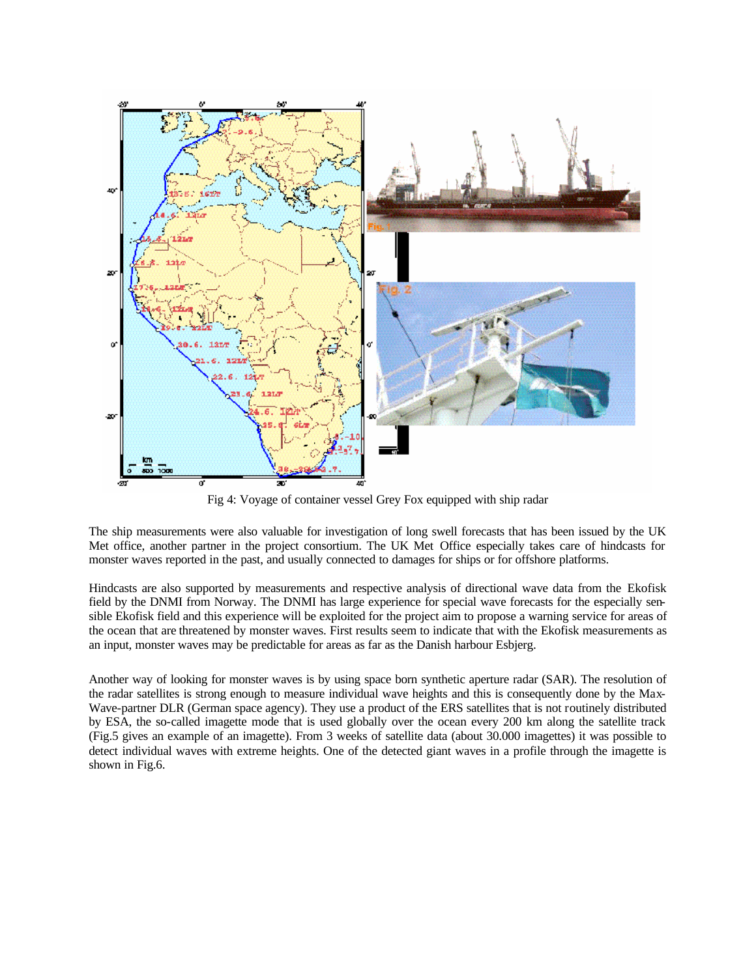

Fig 4: Voyage of container vessel Grey Fox equipped with ship radar

The ship measurements were also valuable for investigation of long swell forecasts that has been issued by the UK Met office, another partner in the project consortium. The UK Met Office especially takes care of hindcasts for monster waves reported in the past, and usually connected to damages for ships or for offshore platforms.

Hindcasts are also supported by measurements and respective analysis of directional wave data from the Ekofisk field by the DNMI from Norway. The DNMI has large experience for special wave forecasts for the especially sensible Ekofisk field and this experience will be exploited for the project aim to propose a warning service for areas of the ocean that are threatened by monster waves. First results seem to indicate that with the Ekofisk measurements as an input, monster waves may be predictable for areas as far as the Danish harbour Esbjerg.

Another way of looking for monster waves is by using space born synthetic aperture radar (SAR). The resolution of the radar satellites is strong enough to measure individual wave heights and this is consequently done by the Max-Wave-partner DLR (German space agency). They use a product of the ERS satellites that is not routinely distributed by ESA, the so-called imagette mode that is used globally over the ocean every 200 km along the satellite track (Fig.5 gives an example of an imagette). From 3 weeks of satellite data (about 30.000 imagettes) it was possible to detect individual waves with extreme heights. One of the detected giant waves in a profile through the imagette is shown in Fig.6.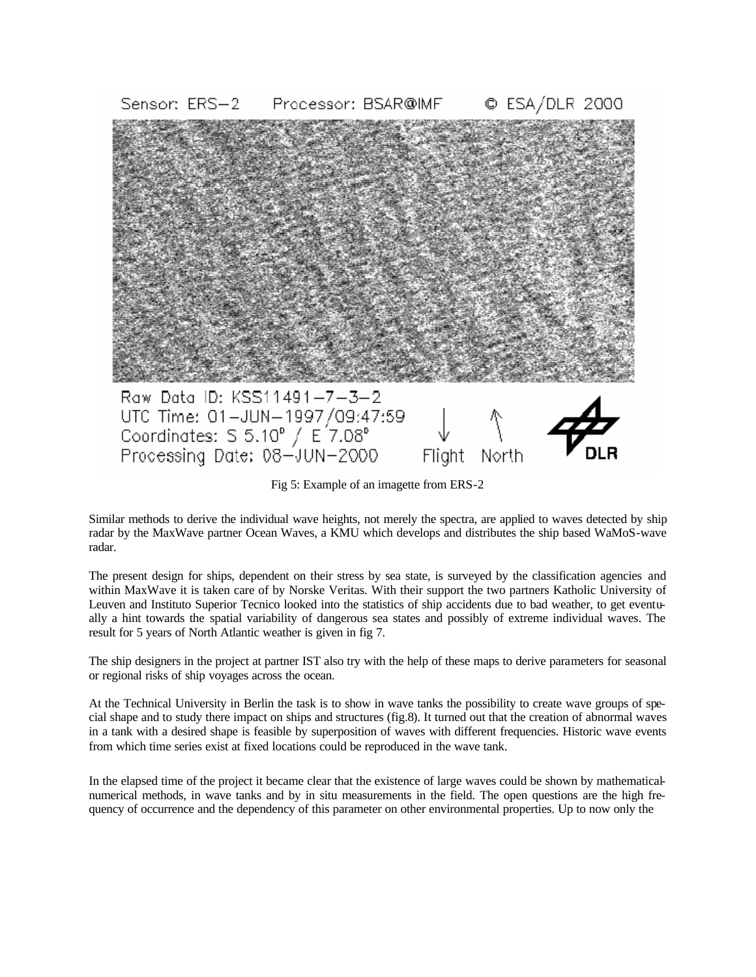![](_page_4_Picture_0.jpeg)

Fig 5: Example of an imagette from ERS-2

Similar methods to derive the individual wave heights, not merely the spectra, are applied to waves detected by ship radar by the MaxWave partner Ocean Waves, a KMU which develops and distributes the ship based WaMoS-wave radar.

The present design for ships, dependent on their stress by sea state, is surveyed by the classification agencies and within MaxWave it is taken care of by Norske Veritas. With their support the two partners Katholic University of Leuven and Instituto Superior Tecnico looked into the statistics of ship accidents due to bad weather, to get eventually a hint towards the spatial variability of dangerous sea states and possibly of extreme individual waves. The result for 5 years of North Atlantic weather is given in fig 7.

The ship designers in the project at partner IST also try with the help of these maps to derive parameters for seasonal or regional risks of ship voyages across the ocean.

At the Technical University in Berlin the task is to show in wave tanks the possibility to create wave groups of special shape and to study there impact on ships and structures (fig.8). It turned out that the creation of abnormal waves in a tank with a desired shape is feasible by superposition of waves with different frequencies. Historic wave events from which time series exist at fixed locations could be reproduced in the wave tank.

In the elapsed time of the project it became clear that the existence of large waves could be shown by mathematicalnumerical methods, in wave tanks and by in situ measurements in the field. The open questions are the high frequency of occurrence and the dependency of this parameter on other environmental properties. Up to now only the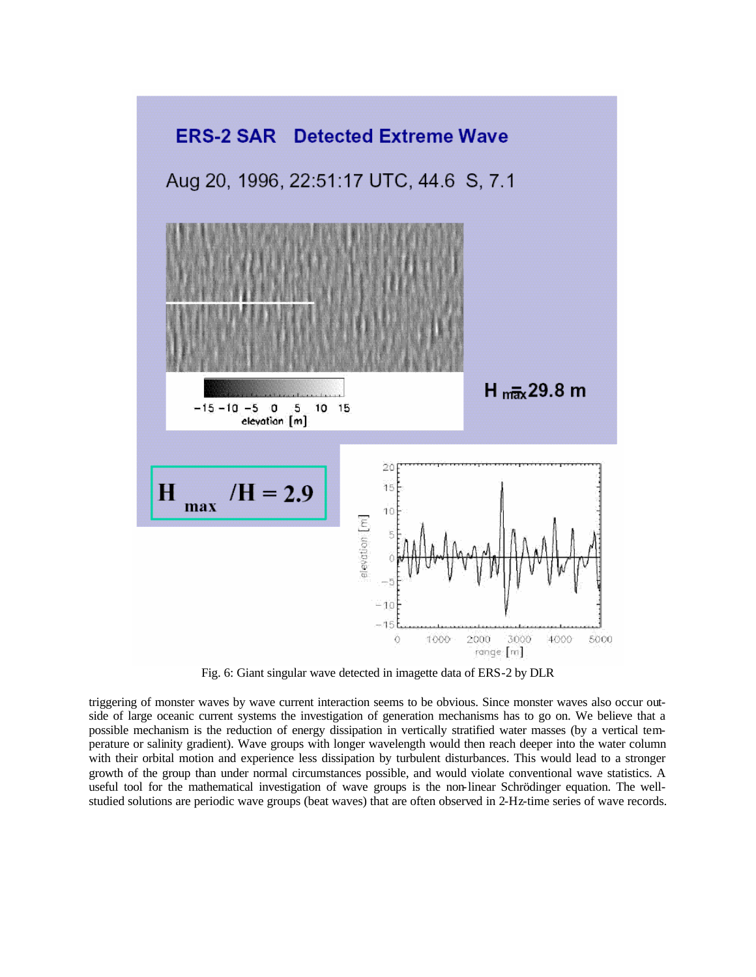![](_page_5_Figure_0.jpeg)

Fig. 6: Giant singular wave detected in imagette data of ERS-2 by DLR

triggering of monster waves by wave current interaction seems to be obvious. Since monster waves also occur outside of large oceanic current systems the investigation of generation mechanisms has to go on. We believe that a possible mechanism is the reduction of energy dissipation in vertically stratified water masses (by a vertical temperature or salinity gradient). Wave groups with longer wavelength would then reach deeper into the water column with their orbital motion and experience less dissipation by turbulent disturbances. This would lead to a stronger growth of the group than under normal circumstances possible, and would violate conventional wave statistics. A useful tool for the mathematical investigation of wave groups is the non-linear Schrödinger equation. The wellstudied solutions are periodic wave groups (beat waves) that are often observed in 2-Hz-time series of wave records.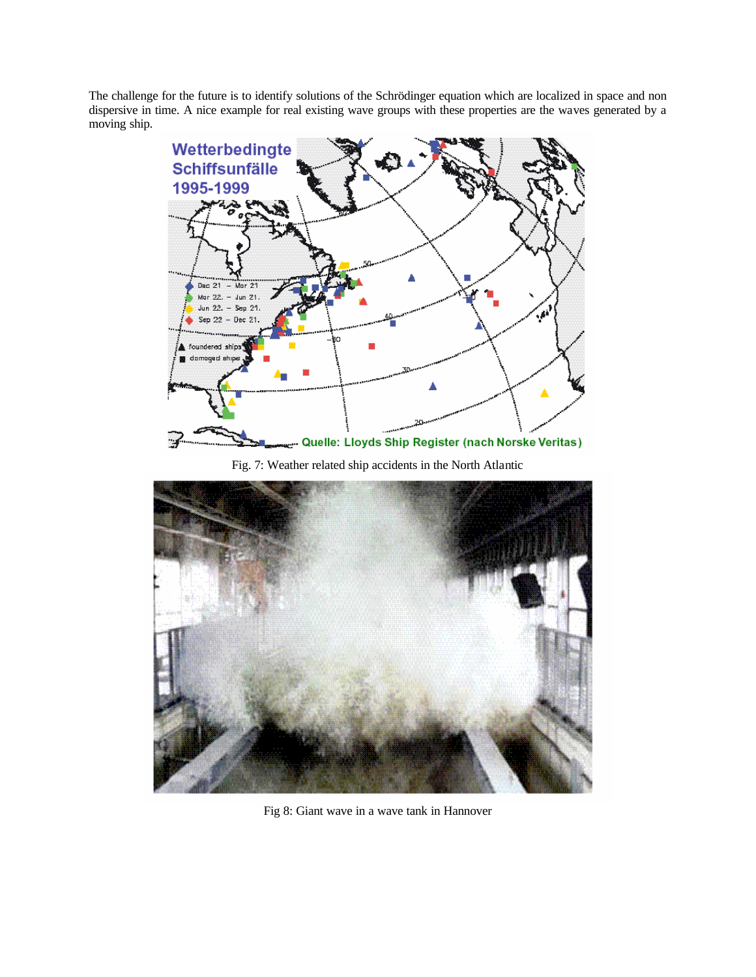The challenge for the future is to identify solutions of the Schrödinger equation which are localized in space and non dispersive in time. A nice example for real existing wave groups with these properties are the waves generated by a moving ship.

![](_page_6_Picture_1.jpeg)

Fig. 7: Weather related ship accidents in the North Atlantic

![](_page_6_Picture_3.jpeg)

Fig 8: Giant wave in a wave tank in Hannover